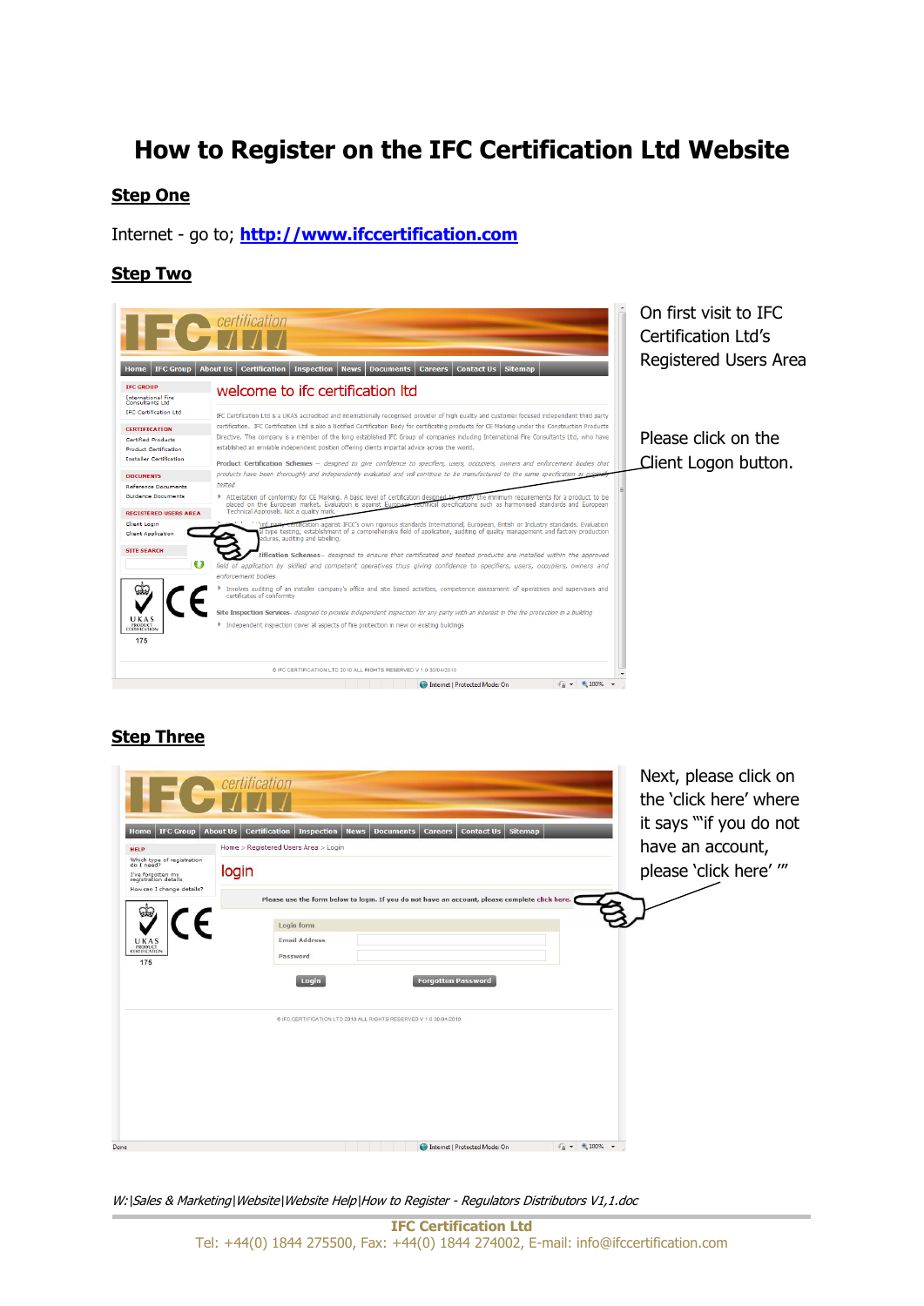# **How to Register on the IFC Certification Ltd Website**

#### **Step One**

Internet - go to; **[http://www.ifccertification.com](http://www.ifccertification.com/)**

#### **Step Two**



#### **Step Three**

|                                                                                                                                  | <b>C</b> certification                                                                                                                                                                                    | Next, please click on<br>the 'click here' where                       |
|----------------------------------------------------------------------------------------------------------------------------------|-----------------------------------------------------------------------------------------------------------------------------------------------------------------------------------------------------------|-----------------------------------------------------------------------|
| <b>IFC Group</b><br>Home<br><b>HELP</b><br>Which type of registration<br>do I need?<br>I've forgotten my<br>registration details | <b>Sitemap</b><br><b>Contact Us</b><br><b>About Us</b><br><b>Certification</b><br><b>Inspection</b><br><b>News</b><br><b>Documents</b><br><b>Careers</b><br>Home > Registered Users Area > Login<br>login | it says ""if you do not<br>have an account,<br>please 'click here' "" |
| How can I change details?<br>UKAS<br><b>PRODUCT</b><br>CERTIFICATION<br>175                                                      | Please use the form below to login. If you do not have an account, please complete click here.<br>Login form<br><b>Email Address</b><br>Password<br><b>Forgotten Password</b><br>Login                    |                                                                       |
| Done                                                                                                                             | @ IFC CERTIFICATION LTD 2010 ALL RIGHTS RESERVED V 1.0 30/04/2010<br>$\sqrt{a}$ + $\sqrt{a}$ 100% +<br>Internet   Protected Mode: On                                                                      |                                                                       |
|                                                                                                                                  |                                                                                                                                                                                                           |                                                                       |

W:\Sales & Marketing\Website\Website Help\How to Register - Regulators Distributors V1,1.doc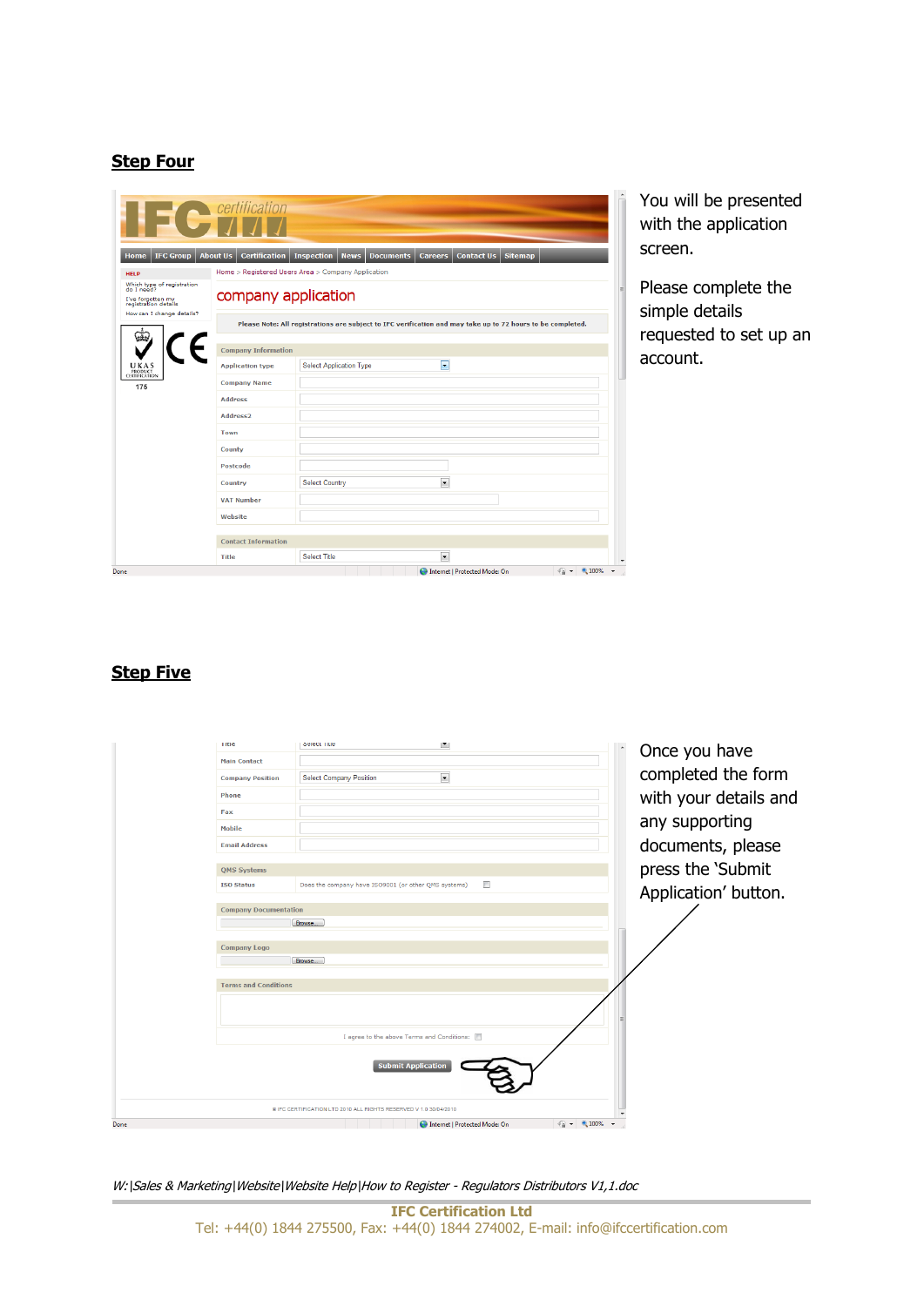## **Step Four**

|                                                                                                                    | <b>C</b> certification                  |                                                      |                                                                                                             |                                        |
|--------------------------------------------------------------------------------------------------------------------|-----------------------------------------|------------------------------------------------------|-------------------------------------------------------------------------------------------------------------|----------------------------------------|
| <b>IFC Group</b><br><b>Home</b>                                                                                    | <b>About Us</b><br><b>Certification</b> | <b>Inspection</b><br><b>Documents</b><br><b>News</b> | <b>Sitemap</b><br><b>Careers</b><br><b>Contact Us</b>                                                       |                                        |
| <b>HELP</b>                                                                                                        |                                         | Home > Registered Users Area > Company Application   |                                                                                                             |                                        |
| Which type of registration<br>do I need?<br>I've forgotten my<br>registration details<br>How can I change details? | company application                     |                                                      |                                                                                                             |                                        |
|                                                                                                                    |                                         |                                                      | Please Note: All registrations are subject to IFC verification and may take up to 72 hours to be completed. |                                        |
|                                                                                                                    | <b>Company Information</b>              |                                                      |                                                                                                             |                                        |
| U K A S<br>PRODUCT<br>CERTIFICATION                                                                                | <b>Application type</b>                 | <b>Select Application Type</b>                       | E                                                                                                           |                                        |
| 175                                                                                                                | <b>Company Name</b>                     |                                                      |                                                                                                             |                                        |
|                                                                                                                    | <b>Address</b>                          |                                                      |                                                                                                             |                                        |
|                                                                                                                    | Address <sub>2</sub>                    |                                                      |                                                                                                             |                                        |
|                                                                                                                    | Town                                    |                                                      |                                                                                                             |                                        |
|                                                                                                                    | County                                  |                                                      |                                                                                                             |                                        |
|                                                                                                                    | Postcode                                |                                                      |                                                                                                             |                                        |
|                                                                                                                    | Country                                 | <b>Select Country</b>                                | $\overline{\phantom{a}}$                                                                                    |                                        |
|                                                                                                                    | <b>VAT Number</b>                       |                                                      |                                                                                                             |                                        |
|                                                                                                                    | Website                                 |                                                      |                                                                                                             |                                        |
|                                                                                                                    | <b>Contact Information</b>              |                                                      |                                                                                                             |                                        |
|                                                                                                                    |                                         |                                                      |                                                                                                             |                                        |
|                                                                                                                    | <b>Title</b>                            | <b>Select Title</b>                                  | $\overline{\phantom{a}}$                                                                                    |                                        |
| Done                                                                                                               |                                         |                                                      | Internet   Protected Mode: On                                                                               | $\frac{1}{10}$ + $\frac{100\%}{100\%}$ |

You will be presented with the application screen.

Please complete the simple details requested to set up an account.

## **Step Five**

|      | Title<br><b>Main Contact</b><br><b>Company Position</b><br>Phone<br>Fax<br><b>Mobile</b><br><b>Email Address</b> | <b>OBJECT TIME</b><br>$\blacksquare$<br>$\blacksquare$<br><b>Select Company Position</b>       |                                 | Once you have<br>completed the form<br>with your details and<br>any supporting<br>documents, please |
|------|------------------------------------------------------------------------------------------------------------------|------------------------------------------------------------------------------------------------|---------------------------------|-----------------------------------------------------------------------------------------------------|
|      | <b>QMS Systems</b><br><b>ISO Status</b>                                                                          | m<br>Does the company have ISO9001 (or other QMS systems)                                      |                                 | press the 'Submit                                                                                   |
|      |                                                                                                                  |                                                                                                |                                 | Application' button.                                                                                |
|      | <b>Company Documentation</b>                                                                                     |                                                                                                |                                 |                                                                                                     |
|      |                                                                                                                  | Browse                                                                                         |                                 |                                                                                                     |
|      | <b>Company Logo</b><br><b>Terms and Conditions</b>                                                               | Browse                                                                                         |                                 |                                                                                                     |
|      |                                                                                                                  | I agree to the above Terms and Conditions:                                                     |                                 |                                                                                                     |
|      |                                                                                                                  | <b>Submit Application</b><br>@ IFC CERTIFICATION LTD 2010 ALL RIGHTS RESERVED V 1.0 30/04/2010 |                                 |                                                                                                     |
| Done |                                                                                                                  | Internet   Protected Mode: On                                                                  | $\sqrt{a}$ $\sim$ 2,100% $\sim$ |                                                                                                     |

W:\Sales & Marketing\Website\Website Help\How to Register - Regulators Distributors V1,1.doc